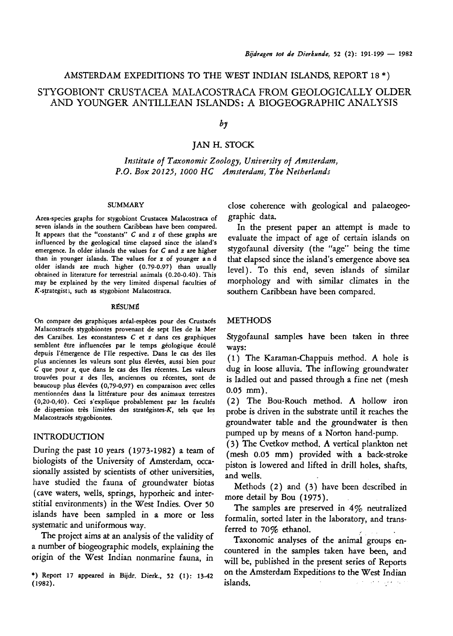## AMSTERDAM EXPEDITIONS TO THE WEST INDIAN ISLANDS, REPORT  $18*$ )

# Stygobiont Crustacea Malacostraca from geologically older and YOUNGER ANTILLEAN ISLANDS: A BIOGEOGRAPHIC ANALYSIS

### by

Jan H. Stock

Institute of Taxonomic Zoology, University of Amsterdam, P.O. Box 20125, 1000 HC Amsterdam, The Netherlands

#### **SUMMARY**

Area-species graphs for stygobiont Crustacea Malacostraca of seven islands in the southern Caribbean have been compared. It appears that the "constants"  $C$  and  $x$  of these graphs are influenced by the geological time elapsed since the island's emergence. In older islands the values for C and z are higher than in younger islands. The values for <sup>z</sup> of younger and older islands are much higher (0.79-0.97) than usually obtained in literature for terrestrial animals (0.20-0.40). This may be explained by the very limited dispersal faculties of K-strategists, such as stygobiont Malacostraca.

### Résumé

On compare des graphiques aréal-espèces pour des Crustacés Malacostracés stygobiontes provenant de sept îles de la Mer des Caraïbes. Les «constantes» C et z dans ces graphiques semblent être influencées par le temps géologique écoulé depuis l'émergence de l'île respective. Dans le cas des îles plus anciennes les valeurs sont plus élevées, aussi bien pour C que pour z, que dans le cas des îles récentes. Les valeurs trouvées pour z des îles, anciennes ou récentes, sont de beaucoup plus élevées (0,79-0,97) en comparaison avec celles mentionnées dans la littérature pour des animaux terrestres (0,20-0,40). Ceci s'explique probablement par les facultés de dispersion très limitées des stratégistes-K, tels que les Malacostracés stygobiontes.

### INTRODUCTION

During the past <sup>10</sup> years (1973-1982) <sup>a</sup> team of biologists of the University of Amsterdam, occasionally assisted by scientists of other universities, have studied the fauna of groundwater biotas (cave waters, wells, springs, hyporheic and interstitial environments) in the West Indies. Over <sup>50</sup> islands have been sampled in <sup>a</sup> more or less systematic and uniformous way.

The project aims at an analysis of the validity of <sup>a</sup> number of biogeographic models, explaining the origin of the West Indian nonmarine fauna, in

\*) Report <sup>17</sup> appeared in Bijdr. Dierk., <sup>52</sup> (1): 13-42 (1982).

close coherence with geological and palaeogeographic data.

In the present paper an attempt is made to evaluate the impact of age of certain islands on stygofaunal diversity (the "age" being the time that elapsed since the island's emergence above sea level). To this end, seven islands of similar morphology and with similar climates in the southern Caribbean have been compared.

### METHODS

Stygofaunal samples have been taken in three ways:

(1) The Karaman-Chappuis method. A hole is dug in loose alluvia. The inflowing groundwater is ladled out and passed through <sup>a</sup> fine net (mesh 0.05 mm).

(2) The Bou-Rouch method. A hollow iron probe is driven in the substrate until it reaches the groundwater table and the groundwater is then pumped up by means of <sup>a</sup> Norton hand-pump.

(3) The Cvetkov method. A vertical plankton net (mesh 0.05 mm) provided with <sup>a</sup> back-stroke piston is lowered and lifted in drill holes, shafts, and wells.

Methods (2) and (3) have been described in more detail by Bou (1975).

The samples are preserved in  $4\%$  neutralized formalin, sorted later in the laboratory, and transferred to 70% ethanol.

Taxonomie analyses of the animal groups encountered in the samples taken have been, and will be, published in the present series of Reports on the Amsterdam Expeditions to the West Indian islands. and some agency of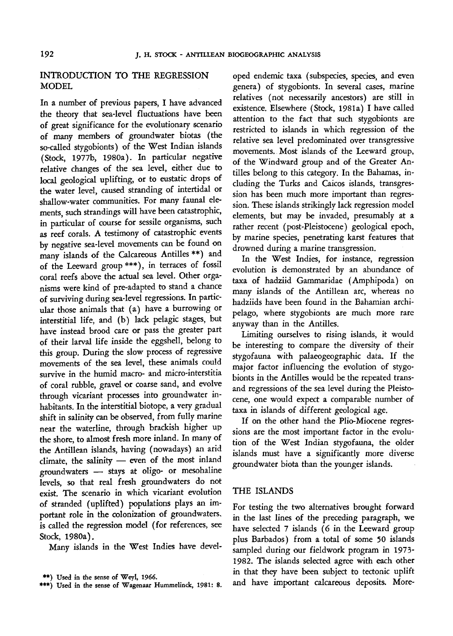## INTRODUCTION TO THE REGRESSION MODEL

In <sup>a</sup> number of previous papers, I have advanced the theory that sea-level fluctuations have been of great significance for the evolutionary scenario of many members of groundwater biotas (the so-called stygobionts) of the West Indian islands (Stock, 1977b, 1980a). In particular negative relative changes of the sea level, either due to local geological uplifting, or to eustatic drops of the water level, caused stranding of intertidal or shallow-water communities. For many faunal elements, such strandings will have been catastrophic, in particular of course for sessile organisms, such as reef corals. A testimony of catastrophic events by negative sea-level movements can be found on many islands of the Calcareous Antilles \*\*) and of the Leeward group\*\*\*), in terraces of fossil coral reefs above the actual sea level. Other organisms were kind of pre-adapted to stand <sup>a</sup> chance of surviving during sea-level regressions. In particular those animals that (a) have <sup>a</sup> burrowing or interstitial life, and (b) lack pelagic stages, but have instead brood care or pass the greater part of their larval life inside the eggshell, belong to this group. During the slow process of regressive movements of the sea level, these animals could survive in the humid macro- and micro-interstitia of coral rubble, gravel or coarse sand, and evolve through vicariant processes into groundwater inhabitants. In the interstitial biotope, <sup>a</sup> very gradual shift in salinity can be observed, from fully marine near the waterline, through brackish higher up the shore, to almost fresh more inland. In many of the Antillean islands, having (nowadays) an arid climate, the salinity — even of the most inland groundwaters — stays at oligo- or mesohaline levels, so that real fresh groundwaters do not exist. The scenario in which vicariant evolution of stranded (uplifted) populations plays an important role in the colonization of groundwaters, is called the regression model (for references, see Stock, 1980a).

Many islands in the West Indies have devel-

oped endemic taxa (subspecies, species, and even genera) of stygobionts. In several cases, marine relatives (not necessarily ancestors) are still in existence. Elsewhere (Stock, 1981a) I have called attention to the fact that such stygobionts are restricted to islands in which regression of the relative sea level predominated over transgressive movements. Most islands of the Leeward group, of the Windward group and of the Greater Antilles belong to this category. In the Bahamas, including the Turks and Caicos islands, transgression has been much more important than regression. These islands strikingly lack regression model elements, but may be invaded, presumably at <sup>a</sup> rather recent (post-Pleistocene) geological epoch, by marine species, penetrating karst features that drowned during <sup>a</sup> marine transgression.

In the West Indies, for instance, regression evolution is demonstrated by an abundance of taxa of hadziid Gammaridae (Amphipoda) on many islands of the Antillean arc, whereas no hadziids have been found in the Bahamian archipelago, where stygobionts are much more rare anyway than in the Antilles.

Limiting ourselves to rising islands, it would be interesting to compare the diversity of their stygofauna with palaeogeographic data. If the major factor influencing the evolution of stygobionts in the Antilles would be the repeated transand regressions of the sea level during the Pleistocene, one would expect <sup>a</sup> comparable number of taxa in islands of different geological age.

If on the other hand the Plio-Miocene regressions are the most important factor in the evolution of the West Indian stygofauna, the older islands must have <sup>a</sup> significantly more diverse groundwater biota than the younger islands.

### THE ISLANDS

For testing the two alternatives brought forward in the last lines of the preceding paragraph, we have selected <sup>7</sup> islands (6 in the Leeward group plus Barbados) from <sup>a</sup> total of some 50 islands sampled during our fieldwork program in 1973- 1982. The islands selected agree with each other in that they have been subject to tectonic uplift and have important calcareous deposits. More-

<sup>\*\*)</sup> Used in the sense of Weyl, 1966.

<sup>\*\*\*)</sup> Used in the sense of Wagenaar Hummelinck, 1981: 8.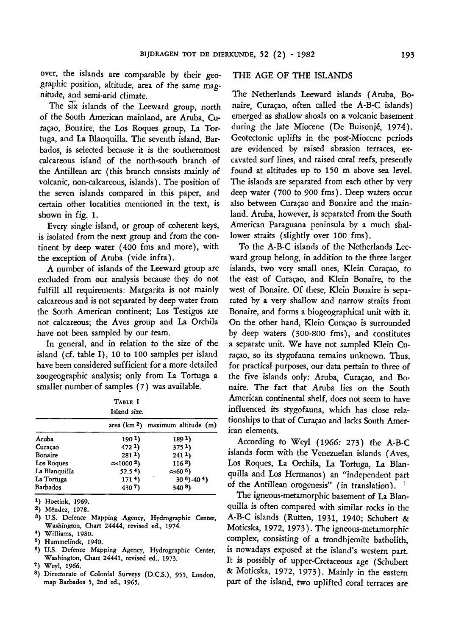over, the islands are comparable by their geographic position, altitude, area of the same magnitude, and semi-arid climate.

The six islands of the Leeward group, north of the South American mainland, are Aruba, Curaçao, Bonaire, the Los Roques group, La Tortuga, and La Blanquilla. The seventh island, Barbados, is selected because it is the southernmost calcareous island of the north-south branch of the Antillean arc (this branch consists mainly of volcanic, non-calcareous, islands ). The position of the seven islands compared in this paper, and certain other localities mentioned in the text, is shown in fig. 1.

Every single island, or group of coherent keys, is isolated from the next group and from the continent by deep water (400 fms and more), with the exception of Aruba (vide infra).

A number of islands of the Leeward group are excluded from our analysis because they do not fulfill all requirements: Margarita is not mainly calcareous and is not separated by deep water from the South American continent; Los Testigos are not calcareous; the Aves group and La Orchila have not been sampled by our team.

In general, and in relation to the size of the island (cf. table I), <sup>10</sup> to 100 samples per island have been considered sufficient for <sup>a</sup> more detailed Zoogeographie analysis; only from La Tortuga <sup>a</sup> sologeographic distribution, only 11011 212 1014<br>
smaller number of samples (7) was available.<br>
TABLE I

| TABLE I<br>Island size. |                    |                                      |  |  |  |  |  |
|-------------------------|--------------------|--------------------------------------|--|--|--|--|--|
|                         |                    | area ( $km^2$ ) maximum altitude (m) |  |  |  |  |  |
| Aruba                   | 190 <sup>1</sup>   | 1891)                                |  |  |  |  |  |
| Curaçao                 | 4721)              | 3751                                 |  |  |  |  |  |
| Bonaire                 | 2811)              | 2411                                 |  |  |  |  |  |
| Los Roques              | $\approx$ 1000 $2$ | 1163)                                |  |  |  |  |  |
| La Blanquilla           | 52.54              | $\approx$ 60 $^5$ )                  |  |  |  |  |  |
| La Tortuga              | 171 <sup>4</sup>   | $30^{6}$ ) - 40 $4$ )                |  |  |  |  |  |
| Barbados                | 4307)              | 340 8)                               |  |  |  |  |  |

<sup>1</sup>) Hoetink, 1969.

2 ) Méndez, 1978.

- <sup>8</sup>) U.S. Defence Mapping Agency, Hydrographic Center, Washington, Chart 24444, revised ed., 1974.
- \*) Williams, 1980.
- s ) Hummelinck, 1940.
- <sup>6</sup>) U.S. Defence Mapping Agency, Hydrographic Center, Washington, Chart 24441, revised ed., 1973.
- 7 ) Weyl, 1966.
- 8 ) Directorate of Colonial Surveys (D.C.S.), 955, London, map Barbados 5, 2nd ed., 1965.

# THE AGE OF THE ISLANDS

The Netherlands Leeward islands (Aruba, Bonaire, Curaçao, often called the A-B-C islands) emerged as shallow shoals on <sup>a</sup> volcanic basement during the late Miocene (De Buisonjé, 1974). Geotectonic uplifts in the post-Miocene periods are evidenced by raised abrasion terraces, excavated surf lines, and raised coral reefs, presently found at altitudes up to 150 m above sea level. The islands are separated from each other by very deep water (700 to 900 fms). Deep waters occur also between Curaçao and Bonaire and the mainland. Aruba, however, is separated from the South American Paraguana peninsula by <sup>a</sup> much shallower straits (slightly over 100 fms).

To the A-B-C islands of the Netherlands Leeward group belong, in addition to the three larger islands, two very small ones, Klein Curaçao, to the east of Curacao, and Klein Bonaire, to the west of Bonaire. Of these, Klein Bonaire is separated by <sup>a</sup> very shallow and narrow straits from Bonaire, and forms <sup>a</sup> biogeographical unit with it. On the other hand, Klein Curaçao is surrounded by deep waters (300-800 fms), and constitutes <sup>a</sup> separate unit. We have not sampled Klein Curaçao, so its stygofauna remains unknown. Thus, for practical purposes, our data pertain to three of the five islands only: Aruba, Curaçao, and Bonaire. The fact that Aruba lies on the South American continental shelf, does not seem to have influenced its stygofauna, which has close relationships to that of Curaçao and lacks South American elements.

According to Weyl (1966: 273) the A-B-C islands form with the Venezuelan islands (Aves, Los Roques, La Orchila, La Tortuga, La Blanquilla and Los Hermanos) an "independent part of the Antillean orogenesis" (in translation).

The igneous-metamorphic basement of La Blanquilla is often compared with similar rocks in the A-B-C islands (Rutten, 1931, 1940; Schubert & Moticska, 1972, 1973). The igneous-metamorphic complex, consisting of <sup>a</sup> trondhjemite batholith, is nowadays exposed at the island's western part. It is possibly of upper-Cretaceous age (Schubert & Moticska, 1972, 1973). Mainly in the eastern part of the island, two uplifted coral terraces are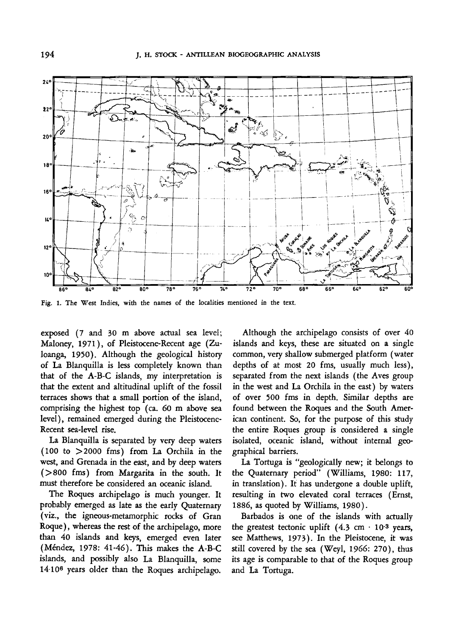

Fig. 1. The West Indies, with the names of the localities mentioned in the text.

exposed (7 and 30 m above actual sea level; Maloney, 1971), of Pleistocene-Recent age (Zuloanga, 1950). Although the geological history of La Blanquilla is less completely known than that of the A-B-C islands, my interpretation is that the extent and altitudinal uplift of the fossil terraces shows that <sup>a</sup> small portion of the island, comprising the highest top (ca. 60 m above sea level), remained emerged during the Pleistocene-Recent sea-level rise.

La Blanquilla is separated by very deep waters (100 to >2000 fms) from La Orchila in the west, and Grenada in the east, and by deep waters (>800 fms) from Margarita in the south. It must therefore be considered an oceanic island.

The Roques archipelago is much younger. It probably emerged as late as the early Quaternary (viz., the igneous-metamorphic rocks of Gran Roque ), whereas the rest of the archipelago, more than 40 islands and keys, emerged even later (Méndez, 1978: 41-46). This makes the A-B-C islands, and possibly also La Blanquilla, some 14-106 years older than the Roques archipelago.

Although the archipelago consists of over 40 islands and keys, these are situated on <sup>a</sup> single common, very shallow submerged platform (water depths of at most 20 fms, usually much less), separated from the next islands (the Aves group in the west and La Orchila in the east) by waters of over 500 fms in depth. Similar depths are found between the Roques and the South American continent. So, for the purpose of this study the entire Roques group is considered <sup>a</sup> single isolated, oceanic island, without internal geographical barriers.

La Tortuga is "geologically new; it belongs to the Quaternary period" (Williams, 1980: 117, in translation). It has undergone <sup>a</sup> double uplift, resulting in two elevated coral terraces (Ernst, 1886, as quoted by Williams, 1980).

Barbados is one of the islands with actually the greatest tectonic uplift  $(4.3 \text{ cm} \cdot 10^{3} \text{ years},$ see Matthews, 1973). In the Pleistocene, it was still covered by the sea (Weyl, 1966: 270), thus its age is comparable to that of the Roques group and La Tortuga.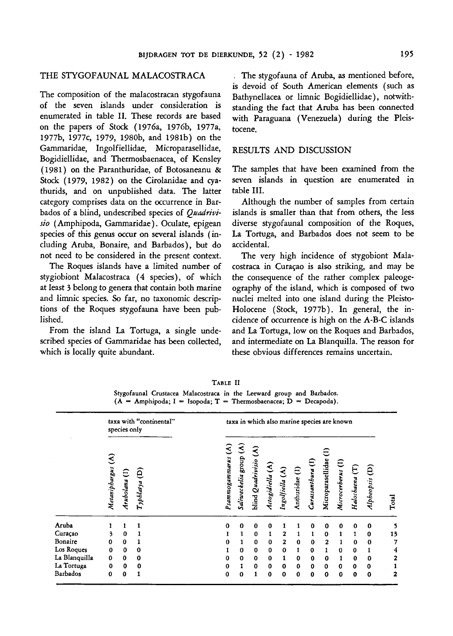## THE STYGOFAUNAL MALACOSTRACA

The composition of the malacostracan stygofauna of the seven islands under consideration is enumerated in table II. These records are based on the papers of Stock (1976a, 1976b, 1977a, 1977b, 1977c, 1979, 1980b, and 1981b) on the Gammaridae, Ingolfiellidae, Microparasellidae, Bogidiellidae, and Thermosbaenacea, of Kensley (1981) on the Paranthuridae, of Botosaneanu & Stock (1979, 1982) on the Cirolanidae and cyathurids, and on unpublished data. The latter category comprises data on the occurrence in Barbados of a blind, undescribed species of Quadrivisio (Amphipoda, Gammaridae). Oculate, epigean species of this genus occur on several islands (including Aruba, Bonaire, and Barbados), but do not need to be considered in the present context.

The Roques islands have <sup>a</sup> limited number of stygiobiont Malacostraca (4 species), of which at least <sup>3</sup> belong to genera that contain both marine and limnic species. So far, no taxonomie descriptions of the Roques stygofauna have been published.

From the island La Tortuga, <sup>a</sup> single undescribed species of Gammaridae has been collected, which is locally quite abundant.

The stygofauna of Aruba, as mentioned before, is devoid of South American elements (such as Bathynellacea or limnic Bogidiellidae ), notwithstanding the fact that Aruba has been connected with Paraguana (Venezuela) during the Pleistocene.

# RESULTS AND DISCUSSION

The samples that have been examined from the seven islands in question are enumerated in table III.

Although the number of samples from certain islands is smaller than that from others, the less diverse stygofaunal composition of the Roques, La Tortuga, and Barbados does not seem to be accidental.

The very high incidence of stygobiont Malacostraca in Curaçao is also striking, and may be the consequence of the rather complex paleogeography of the island, which is composed of two nuclei melted into one island during the Pleisto-Holocene (Stock, 1977b). In general, the incidence of occurrence is high on the A-B-C islands and La Tortuga, low on the Roques and Barbados, and intermediate on La Blanquilla. The reason for these obvious differences remains uncertain.

|  | TABLE II                                                              |  |  |  |
|--|-----------------------------------------------------------------------|--|--|--|
|  | Stygofaunal Crustacea Malacostraca in the Leeward group and Barbados. |  |  |  |
|  | $(A - Amphipoda; I = Isopoda; T = Thermosbaenacea; D = Decapoda).$    |  |  |  |

| taxa with "continental"<br>species only |                   | taxa in which also marine species are known |                |                     |                                                  |                        |                  |                 |                               |                  |                        |                   |                |                |       |
|-----------------------------------------|-------------------|---------------------------------------------|----------------|---------------------|--------------------------------------------------|------------------------|------------------|-----------------|-------------------------------|------------------|------------------------|-------------------|----------------|----------------|-------|
|                                         | Metaniphargus (A) | Ξ<br>Arubolana                              | ê<br>Typhlatya | €<br>Psammogammarus | $\widehat{\mathcal{E}}$<br>grorg<br>Saliweckelia | 3<br>blind Quadrivisio | Actogidiella (A) | Ingolfiella (A) | $\widehat{\Xi}$<br>Anthuridae | Curassanthura (I | ゠<br>Microparasellidae | Microcerberus (I) | Haloshaena (T) | Alpheopsis (D) | Total |
| Aruba                                   |                   |                                             | 1              | $\mathbf 0$         | 0                                                | 0                      | $\bf{0}$         |                 |                               | ٥                | 0                      | 0                 | 0              | $\bf{0}$       | 5     |
| Curaçao                                 | 3                 | $\bf{0}$                                    | 1              | 1                   | $\mathbf{1}$                                     | $\bf{0}$               | 1                | 2               |                               | 1                | 0                      | 1                 | 1              | 0              | 13    |
| Bonaire                                 | 0                 | 0                                           | 1              | $\bf{0}$            | $\mathbf{1}$                                     | 0                      | 0                | $\mathbf{2}$    | $\bf{0}$                      | 0                | 2                      | 1                 | $\mathbf 0$    | $\mathbf 0$    | 7     |
| Los Roques                              | 0                 | $\mathbf 0$                                 | $\bf{0}$       |                     | 0                                                | 0                      | 0                | 0               | 1                             | $\mathbf 0$      | 1                      | $\bf{0}$          | $\bf{0}$       | 1              | 4     |
| La Blanquilla                           | 0                 | $\bf{0}$                                    | $\bf{0}$       | $\mathbf 0$         | 0                                                | $\mathbf 0$            | $\bf{0}$         | 1               | 0                             | 0                | $\mathbf 0$            | 1                 | $\bf{0}$       | $\mathbf 0$    | 2     |
| La Tortuga                              | 0                 | 0                                           | $\bf{0}$       | 0                   | 1                                                | 0                      | $\mathbf 0$      | 0               | 0                             | 0                | $\bf{0}$               | 0                 | 0              | $\bf{0}$       |       |
| Barbados                                | $\bf{0}$          | 0                                           |                | 0                   | $\mathbf o$                                      | 1                      | $\bf{0}$         | $\bf{0}$        | $\mathbf 0$                   | 0                | 0                      | $\bf{0}$          | $\bf{o}$       | $\mathbf o$    | 2     |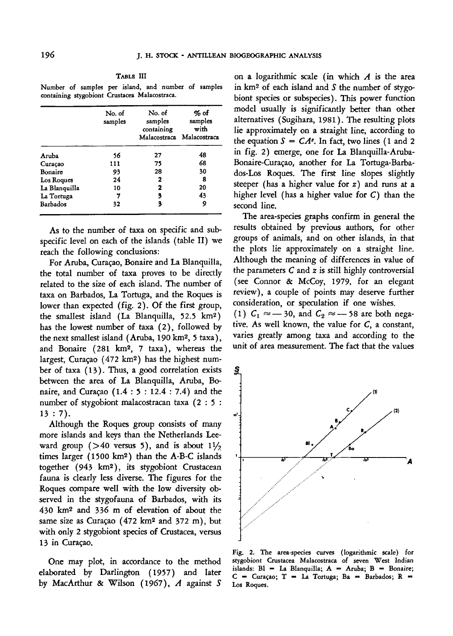Table III

Number of samples per island, and number of samples containing stygobiont Crustacea Malacostraca.

|               | No. of<br>samples | No. of<br>samples<br>containing | $%$ of<br>samples<br>with<br>Malacostraca Malacostraca |  |  |
|---------------|-------------------|---------------------------------|--------------------------------------------------------|--|--|
| Aruba         | 56                | 27                              | 48                                                     |  |  |
| Curação       | 111               | 75                              | 68                                                     |  |  |
| Bonaire       | 93                | 28                              | 30                                                     |  |  |
| Los Roques    | 24                | 2                               | 8                                                      |  |  |
| La Blanquilla | 10                | 2                               | 20                                                     |  |  |
| La Tortuga    | 7                 | 3                               | 43                                                     |  |  |
| Barbados      | 32                | 3                               | 9                                                      |  |  |

As to the number of taxa on specific and subspecific level on each of the islands (table II) we reach the following conclusions:

For Aruba, Curaçao, Bonaire and La Blanquilla, the total number of taxa proves to be directly related to the size of each island. The number of taxa on Barbados, La Tortuga, and the Roques is lower than expected (fig. 2). Of the first group, the smallest island (La Blanquilla, 52.5 km2 ) has the lowest number of taxa (2), followed by the next smallest island (Aruba, 190 km2 , <sup>5</sup> taxa), and Bonaire (281 km<sup>2</sup>, 7 taxa), whereas the largest, Curaçao (472 km<sup>2</sup>) has the highest num ber of taxa (13). Thus, <sup>a</sup> good correlation exists between the area of La Blanquilla, Aruba, Bonaire, and Curaçao (1.4 : <sup>5</sup> : 12.4 : 7.4) and the number of stygobiont malacostracan taxa (2 : <sup>5</sup> : 13 : 7).

Although the Roques group consists of many more islands and keys than the Netherlands Leeward group ( $>40$  versus 5), and is about  $1\frac{1}{2}$ times larger  $(1500 \text{ km}^2)$  than the A-B-C islands together (943 km2 ), its stygobiont Crustacean fauna is clearly less diverse. The figures for the Roques compare well with the low diversity observed in the stygofauna of Barbados, with its 430 km2 and 336 m of elevation of about the same size as Curaçao (472 km2 and 372 m), but with only 2 stygobiont species of Crustacea, versus 13 in Curaçao.

One may plot, in accordance to the method elaborated by Darlington (1957) and later by MacArthur & Wilson (1967), A against <sup>S</sup>

on a logarithmic scale (in which  $A$  is the area in  $km^2$  of each island and  $S$  the number of stygobiont species or subspecies). This power function model usually is significantly better than other alternatives (Sugihara, 1981). The resulting plots lie approximately on <sup>a</sup> straight line, according to the equation  $S = CA^z$ . In fact, two lines (1 and 2 in fig. 2) emerge, one for La Blanquilla-Aruba-Bonaire-Curaçao, another for La Tortuga-Barbados-Los Roques. The first line slopes slightly steeper (has <sup>a</sup> higher value for z) and runs at <sup>a</sup> higher level (has a higher value for  $C$ ) than the second line.

The area-species graphs confirm in general the results obtained by previous authors, for other groups of animals, and on other islands, in that the plots lie approximately on <sup>a</sup> straight line. Although the meaning of differences in value of the parameters  $C$  and  $z$  is still highly controversial (see Connor & McCoy, 1979, for an elegant review), <sup>a</sup> couple of points may deserve further consideration, or speculation if one wishes. (1)  $C_1 \approx$  -30, and  $C_2 \approx$  -58 are both nega tive. As well known, the value for C, <sup>a</sup> constant, varies greatly among taxa and according to the unit of area measurement. The fact that the values

ş í9

Fig. 2. The area-species curves (logarithmic scale) for stygobiont Crustacea Malacostraca of seven West Indian  $is$ lands: Bl = La Blanquilla;  $A = Aruba$ ; B = Bonaire;  $C =$  Curaçao;  $T =$  La Tortuga; Ba = Barbados; R = Los Roques.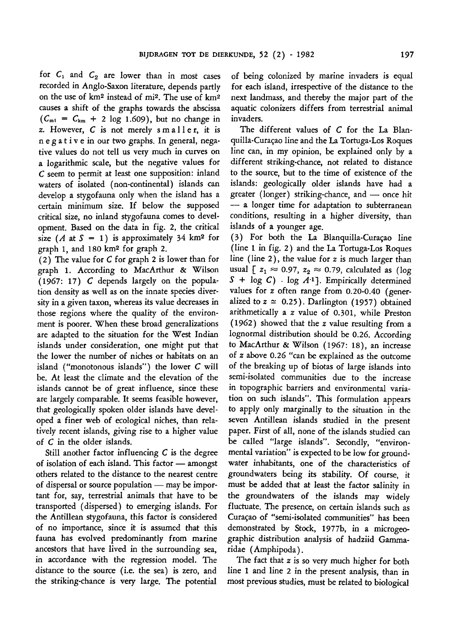for  $C_1$  and  $C_2$  are lower than in most cases recorded in Anglo-Saxon literature, depends partly on the use of  $km^2$  instead of mi<sup>2</sup>. The use of  $km^2$ causes <sup>a</sup> shift of the graphs towards the abscissa  $(C_{m1} = C_{km} + 2 \log 1.609)$ , but no change in z. However, <sup>C</sup> is not merely smaller, it is negative in our two graphs. In general, negative values do not tell us very much in curves on <sup>a</sup> logarithmic scale, but the negative values for <sup>C</sup> seem to permit at least one supposition: inland waters of isolated (non-continental) islands can develop <sup>a</sup> stygofauna only when the island has <sup>a</sup> certain minimum size. If below the supposed critical size, no inland stygofauna comes to development. Based on the data in fig. 2, the critical size  $(A \t{at} S = 1)$  is approximately 34 km<sup>2</sup> for graph 1, and 180 km2 for graph 2.

(2) The value for <sup>C</sup> for graph <sup>2</sup> is lower than for graph 1. According to MacArthur & Wilson (1967: 17) <sup>C</sup> depends largely on the population density as well as on the innate species diversity in <sup>a</sup> given taxon, whereas its value decreases in those regions where the quality of the environment is poorer. When these broad generalizations are adapted to the situation for the West Indian islands under consideration, one might put that the lower the number of niches or habitats on an island ("monotonous islands") the lower <sup>C</sup> will be. At least the climate and the elevation of the islands cannot be of great influence, since these are largely comparable. It seems feasible however, that geologically spoken older islands have developed <sup>a</sup> finer web of ecological niches, than relatively recent islands, giving rise to <sup>a</sup> higher value of C in the older islands.

Still another factor influencing <sup>C</sup> is the degree of isolation of each island. This factor — amongst others related to the distance to the nearest centre of dispersal or source population - may be impor tant for, say, terrestrial animals that have to be transported (dispersed) to emerging islands. For the Antillean stygofauna, this factor is considered of no importance, since it is assumed that this fauna has evolved predominantly from marine ancestors that have lived in the surrounding sea, in accordance with the regression model. The distance to the source (i.e. the sea) is zero, and the striking-chance is very large. The potential

of being colonized by marine invaders is equal for each island, irrespective of the distance to the next landmass, and thereby the major part of the aquatic colonizers differs from terrestrial animal invaders.

The different values of C for the La Blanquilla-Curaçao line and the La Tortuga-Los Roques line can, in my opinion, be explained only by <sup>a</sup> different striking-chance, not related to distance to the source, but to the time of existence of the islands: geologically older islands have had <sup>a</sup> greater (longer) striking-chance, and — once hit — <sup>a</sup> longer time for adaptation to subterranean conditions, resulting in <sup>a</sup> higher diversity, than islands of <sup>a</sup> younger age.

(3) For both the La Blanquilla-Curaçao line (line <sup>1</sup> in fig. 2) and the La Tortuga-Los Roques line (line 2), the value for  $z$  is much larger than usual  $\left[ z_1 \approx 0.97, z_2 \approx 0.79,$  calculated as (log  $S + \log C$ ) ·  $\log A^{-1}$ . Empirically determined values for <sup>z</sup> often range from 0.20-0.40 (generalized to  $z \approx 0.25$ ). Darlington (1957) obtained arithmetically <sup>a</sup> <sup>z</sup> value of 0.301, while Preston (1962) showed that the <sup>z</sup> value resulting from <sup>a</sup> lognormal distribution should be 0.26. According to MacArthur & Wilson (1967: 18), an increase of <sup>z</sup> above 0.26 "can be explained as the outcome of the breaking up of biotas of large islands into semi-isolated communities due to the increase in topographic barriers and environmental variation on such islands". This formulation appears to apply only marginally to the situation in the seven Antillean islands studied in the present paper. First of all, none of the islands studied can be called "large islands". Secondly, "environmental variation" is expected to be low for groundwater inhabitants, one of the characteristics of groundwaters being its stability. Of course, it must be added that at least the factor salinity in the groundwaters of the islands may widely fluctuate. The presence, on certain islands such as Curaçao of "semi-isolated communities" has been demonstrated by Stock, 1977b, in <sup>a</sup> microgeographic distribution analysis of hadziid Gammaridae (Amphipoda).

The fact that  $z$  is so very much higher for both line <sup>1</sup> and line <sup>2</sup> in the present analysis, than in most previous studies, must be related to biological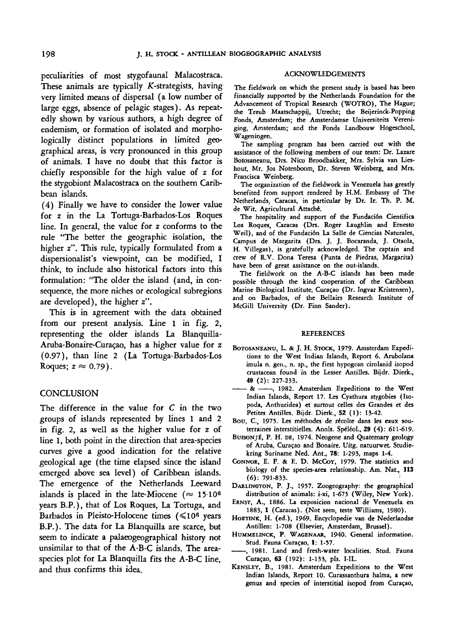peculiarities of most stygofaunal Malacostraca. These animals are typically  $K$ -strategists, having very limited means of dispersal (a low number of large eggs, absence of pelagic stages). As repeatedly shown by various authors, <sup>a</sup> high degree of endemism, or formation of isolated and morphologically distinct populations in limited geographical areas, is very pronounced in this group of animals. I have no doubt that this factor is chiefly responsible for the high value of <sup>z</sup> for the stygobiont Malacostraca on the southern Caribbean islands.

(4) Finally we have to consider the lower value for <sup>z</sup> in the La Tortuga-Barbados-Los Roques line. In general, the value for <sup>z</sup> conforms to the rule "The better the geographic isolation, the higher z". This rule, typically formulated from a dispersionalist's viewpoint, can be modified, I think, to include also historical factors into this formulation: "The older the island (and, in consequence, the more niches or ecological subregions are developed), the higher z".

This is in agreement with the data obtained from our present analysis. Line <sup>1</sup> in fig. 2, representing the older islands La Blanquilla-Aruba-Bonaire-Curaçao, has <sup>a</sup> higher value for <sup>z</sup> (0.97), than line <sup>2</sup> (La Tortuga-Barbados-Los Roques;  $z \approx 0.79$ )

## **CONCLUSION**

The difference in the value for  $C$  in the two groups of islands represented by lines <sup>1</sup> and <sup>2</sup> in fig. 2, as well as the higher value for <sup>z</sup> of line 1, both point in the direction that area-species curves give <sup>a</sup> good indication for the relative geological age (the time elapsed since the island emerged above sea level) of Caribbean islands. The emergence of the Netherlands Leeward islands is placed in the late-Miocene ( $\approx 15.10^6$ ) years B.P.), that of Los Roques, La Tortuga, and .<br>Barbados in Pleisto-Holocene times (≤10<sup>6</sup> years B.P.). The data for La Blanquilla are scarce, but seem to indicate <sup>a</sup> palaeogeographical history not unsimilar to that of the A-B-C islands. The areaspecies plot for La Blanquilla fits the A-B-C line, and thus confirms this idea.

#### ACKNOWLEDGEMENTS

The fieldwork on which the present study is based has been financially supported by the Netherlands Foundation for the Advancement of Tropical Research (WOTRO), The Hague; the Treub Maatschappij, Utrecht; the Beijerinck-Popping Fonds, Amsterdam; the Amsterdamse Universiteits Vereniging, Amsterdam; and the Fonds Landbouw Hogeschool, Wageningen.

The sampling program has been carried out with the assistance of the following members of our team: Dr. Lazare Botosaneanu, Drs. Nico Broodbakker, Mrs. Sylvia van Lieshout, Mr. Jos Notenboom, Dr. Steven Weinberg, and Mrs. Francisca Weinberg.

The organization of the fieldwork in Venezuela has greatly benefited from support rendered by H.M. Embassy of The Netherlands, Caracas, in particular by Dr. Ir. Th. P. M. de Wit, Agricultural Attaché.

The hospitality and support of the Fundación Cientifica Los Roques, Caracas (Drs. Roger Laughlin and Ernesto Weil), and of the Fundación La Salle de Ciencias Naturales, Campus de Margarita (Drs. J. J. Bocaranda, J. Otaola, H. Villegas), is gratefully acknowledged. The captain and crew of R.V. Dona Teresa (Punta de Piedras, Margarita) have been of great assistance on the out-islands.

The fieldwork on the A-B-C islands has been made possible through the kind cooperation of the Caribbean Marine Biological Institute, Curaçao (Dr. Ingvar Kristensen), and on Barbados, of the Bellairs Research Institute of McGill University (Dr. Finn Sander).

#### **REFERENCES**

- BOTOSANEANU, L. & J. H. STOCK, 1979. Amsterdam Expeditions to the West Indian Islands, Report 6. Arubolana imula n. gen., n. sp., the first hypogean cirolanid isopod crustacean found in the Lesser Antilles. Bijdr. Dierk., 49 (2): 227-233.
- $-8 + -$ 1982. Amsterdam Expeditions to the West Indian Islands, Report 17. Les Cyathura stygobies (Isopoda, Anthuridea) et surtout celles des Grandes et des Petites Antilles. Bijdr. Dierk., <sup>52</sup> (1): 13-42.
- Bou, C, 1975. Les méthodes de récolte dans les eaux souterraines interstitielles. Annls. Spéléol., <sup>29</sup> (4): 611-619.
- BUISONJÉ, P. H. DE, 1974. Neogene and Quaternary geology of Aruba, Curaçao and Bonaire. Uitg. natuurwet. Studiekring Suriname Ned. Ant., 78: 1-293, maps 1-4.
- CONNOR, E. F. & E. D. MCCOY, 1979. The statistics and biology of the species-area relationship. Am. Nat., <sup>113</sup> (6): 791-833.
- DARLINGTON, P. J., 1957. Zoogeography: the geographical distribution of animals: i-xi, 1-675 (Wiley, New York).
- ERNST, A., 1886. La exposicion nacional de Venezuela en 1883, <sup>1</sup> (Caracas). (Not seen, teste Williams, 1980).
- HOETINK, H. (ed.), 1969. Encyclopedie van de Nederlandse Antillen: 1-708 (Elsevier, Amsterdam, Brussel).
- HUMMELINCK, P. WAGENAAR, 1940. General information. Stud. Fauna Curaçao, 1: 1-57.
- , 1981. Land and fresh-water localities. Stud. Fauna Curaçao, <sup>63</sup> (192): 1-133, pis. I-IL.
- KENSLEY, B., 1981. Amsterdam Expeditions to the West Indian Islands, Report 10. Curassanthura halma, <sup>a</sup> new genus and species of interstitial isopod from Curaçao,